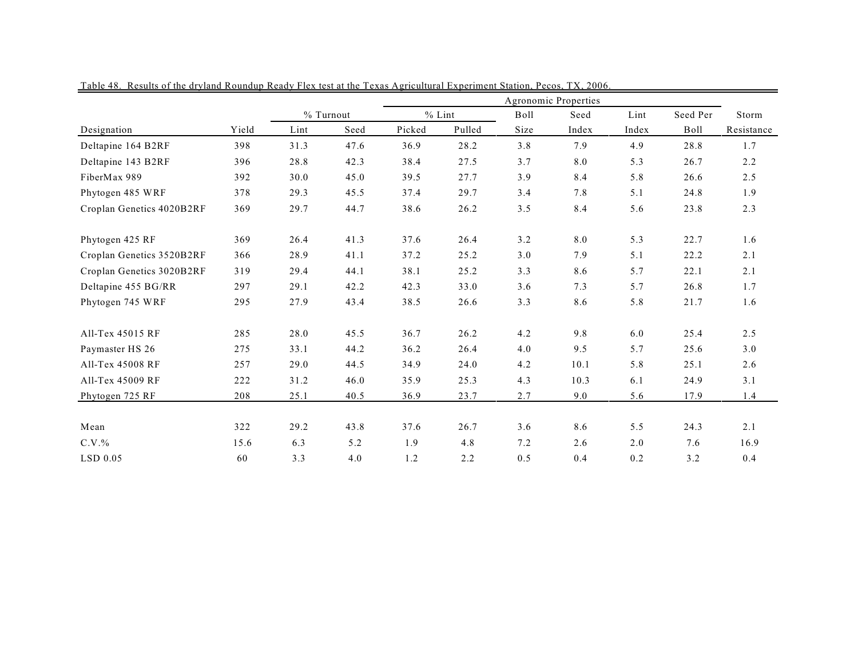|                           |       | Agronomic Properties |      |          |        |      |       |       |          |            |
|---------------------------|-------|----------------------|------|----------|--------|------|-------|-------|----------|------------|
|                           |       | % Turnout            |      | $%$ Lint |        | Boll | Seed  | Lint  | Seed Per | Storm      |
| Designation               | Yield | Lint                 | Seed | Picked   | Pulled | Size | Index | Index | Boll     | Resistance |
| Deltapine 164 B2RF        | 398   | 31.3                 | 47.6 | 36.9     | 28.2   | 3.8  | 7.9   | 4.9   | 28.8     | 1.7        |
| Deltapine 143 B2RF        | 396   | 28.8                 | 42.3 | 38.4     | 27.5   | 3.7  | 8.0   | 5.3   | 26.7     | 2.2        |
| FiberMax 989              | 392   | 30.0                 | 45.0 | 39.5     | 27.7   | 3.9  | 8.4   | 5.8   | 26.6     | 2.5        |
| Phytogen 485 WRF          | 378   | 29.3                 | 45.5 | 37.4     | 29.7   | 3.4  | 7.8   | 5.1   | 24.8     | 1.9        |
| Croplan Genetics 4020B2RF | 369   | 29.7                 | 44.7 | 38.6     | 26.2   | 3.5  | 8.4   | 5.6   | 23.8     | 2.3        |
| Phytogen 425 RF           | 369   | 26.4                 | 41.3 | 37.6     | 26.4   | 3.2  | 8.0   | 5.3   | 22.7     | 1.6        |
| Croplan Genetics 3520B2RF | 366   | 28.9                 | 41.1 | 37.2     | 25.2   | 3.0  | 7.9   | 5.1   | 22.2     | 2.1        |
| Croplan Genetics 3020B2RF | 319   | 29.4                 | 44.1 | 38.1     | 25.2   | 3.3  | 8.6   | 5.7   | 22.1     | 2.1        |
| Deltapine 455 BG/RR       | 297   | 29.1                 | 42.2 | 42.3     | 33.0   | 3.6  | 7.3   | 5.7   | 26.8     | 1.7        |
| Phytogen 745 WRF          | 295   | 27.9                 | 43.4 | 38.5     | 26.6   | 3.3  | 8.6   | 5.8   | 21.7     | 1.6        |
| All-Tex 45015 RF          | 285   | 28.0                 | 45.5 | 36.7     | 26.2   | 4.2  | 9.8   | 6.0   | 25.4     | 2.5        |
| Paymaster HS 26           | 275   | 33.1                 | 44.2 | 36.2     | 26.4   | 4.0  | 9.5   | 5.7   | 25.6     | 3.0        |
| All-Tex 45008 RF          | 257   | 29.0                 | 44.5 | 34.9     | 24.0   | 4.2  | 10.1  | 5.8   | 25.1     | 2.6        |
| All-Tex 45009 RF          | 222   | 31.2                 | 46.0 | 35.9     | 25.3   | 4.3  | 10.3  | 6.1   | 24.9     | 3.1        |
| Phytogen 725 RF           | 208   | 25.1                 | 40.5 | 36.9     | 23.7   | 2.7  | 9.0   | 5.6   | 17.9     | 1.4        |
| Mean                      | 322   | 29.2                 | 43.8 | 37.6     | 26.7   | 3.6  | 8.6   | 5.5   | 24.3     | 2.1        |
| $C.V.$ %                  | 15.6  | 6.3                  | 5.2  | 1.9      | 4.8    | 7.2  | 2.6   | 2.0   | 7.6      | 16.9       |
| $LSD$ 0.05                | 60    | 3.3                  | 4.0  | 1.2      | 2.2    | 0.5  | 0.4   | 0.2   | 3.2      | 0.4        |

Table 48. Results of the dryland Roundup Ready Flex test at the Texas Agricultural Experiment Station, Pecos, TX, 2006.